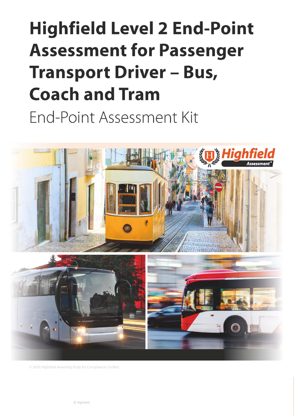# **Highfield Level 2 End-Point Assessment for Passenger Transport Driver - Bus, Coach and Tram** End-Point Assessment Kit



<span id="page-0-2"></span><span id="page-0-1"></span><span id="page-0-0"></span>© 2020 Highfield Awarding Body for Compliance Limited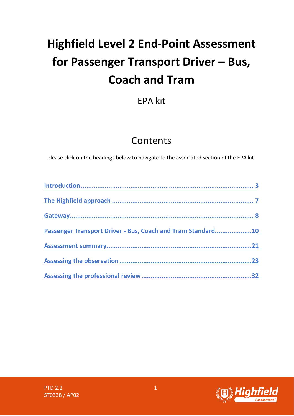# **Highfield Level 2 End-Point Assessment for Passenger Transport Driver – Bus, Coach and Tram**

# EPA kit

# **Contents**

Please click on the headings below to navigate to the associated section of the EPA kit.

| Passenger Transport Driver - Bus, Coach and Tram Standard10 |    |
|-------------------------------------------------------------|----|
|                                                             | 21 |
|                                                             |    |
|                                                             |    |

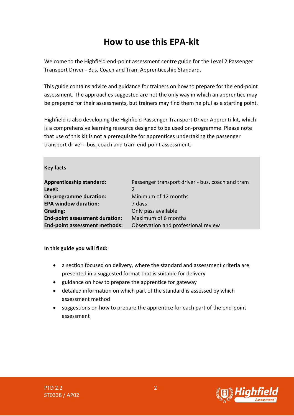# **How to use this EPA-kit**

Welcome to the Highfield end-point assessment centre guide for the Level 2 Passenger Transport Driver - Bus, Coach and Tram Apprenticeship Standard.

This guide contains advice and guidance for trainers on how to prepare for the end-point assessment. The approaches suggested are not the only way in which an apprentice may be prepared for their assessments, but trainers may find them helpful as a starting point.

Highfield is also developing the Highfield Passenger Transport Driver Apprenti-kit, which is a comprehensive learning resource designed to be used on-programme. Please note that use of this kit is not a prerequisite for apprentices undertaking the passenger transport driver - bus, coach and tram end-point assessment.

#### **Key facts**

| <b>Apprenticeship standard:</b><br>Level: | Passenger transport driver - bus, coach and tram<br>$\mathcal{P}$ |
|-------------------------------------------|-------------------------------------------------------------------|
| On-programme duration:                    | Minimum of 12 months                                              |
| <b>EPA window duration:</b>               | 7 days                                                            |
| <b>Grading:</b>                           | Only pass available                                               |
| <b>End-point assessment duration:</b>     | Maximum of 6 months                                               |
| End-point assessment methods:             | Observation and professional review                               |

#### **In this guide you will find:**

- a section focused on delivery, where the standard and assessment criteria are presented in a suggested format that is suitable for delivery
- guidance on how to prepare the apprentice for gateway
- detailed information on which part of the standard is assessed by which assessment method
- suggestions on how to prepare the apprentice for each part of the end-point assessment



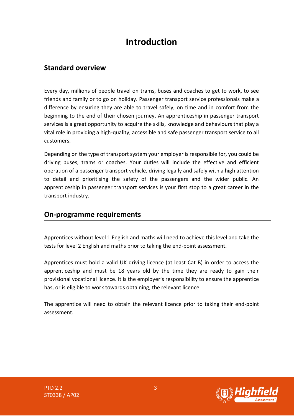# **Introduction**

### <span id="page-3-0"></span>**Standard overview**

Every day, millions of people travel on trams, buses and coaches to get to work, to see friends and family or to go on holiday. Passenger transport service professionals make a difference by ensuring they are able to travel safely, on time and in comfort from the beginning to the end of their chosen journey. An apprenticeship in passenger transport services is a great opportunity to acquire the skills, knowledge and behaviours that play a vital role in providing a high-quality, accessible and safe passenger transport service to all customers.

Depending on the type of transport system your employer is responsible for, you could be driving buses, trams or coaches. Your duties will include the effective and efficient operation of a passenger transport vehicle, driving legally and safely with a high attention to detail and prioritising the safety of the passengers and the wider public. An apprenticeship in passenger transport services is your first stop to a great career in the transport industry.

### **On-programme requirements**

Apprentices without level 1 English and maths will need to achieve this level and take the tests for level 2 English and maths prior to taking the end-point assessment.

Apprentices must hold a valid UK driving licence (at least Cat B) in order to access the apprenticeship and must be 18 years old by the time they are ready to gain their provisional vocational licence. It is the employer's responsibility to ensure the apprentice has, or is eligible to work towards obtaining, the relevant licence.

The apprentice will need to obtain the relevant licence prior to taking their end-point assessment.



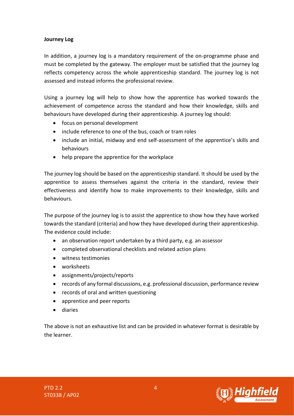#### **Journey Log**

In addition, a journey log is a mandatory requirement of the on-programme phase and must be completed by the gateway. The employer must be satisfied that the journey log reflects competency across the whole apprenticeship standard. The journey log is not assessed and instead informs the professional review.

Using a journey log will help to show how the apprentice has worked towards the achievement of competence across the standard and how their knowledge, skills and behaviours have developed during their apprenticeship. A journey log should:

- focus on personal development
- include reference to one of the bus, coach or tram roles
- include an initial, midway and end self-assessment of the apprentice's skills and behaviours
- help prepare the apprentice for the workplace

The journey log should be based on the apprenticeship standard. It should be used by the apprentice to assess themselves against the criteria in the standard, review their effectiveness and identify how to make improvements to their knowledge, skills and behaviours.

The purpose of the journey log is to assist the apprentice to show how they have worked towards the standard (criteria) and how they have developed during their apprenticeship. The evidence could include:

- an observation report undertaken by a third party, e.g. an assessor
- completed observational checklists and related action plans
- witness testimonies
- worksheets
- assignments/projects/reports
- records of any formal discussions, e.g. professional discussion, performance review
- records of oral and written questioning
- apprentice and peer reports
- diaries

The above is not an exhaustive list and can be provided in whatever format is desirable by the learner.



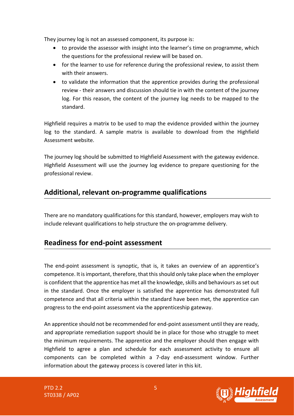They journey log is not an assessed component, its purpose is:

- to provide the assessor with insight into the learner's time on programme, which the questions for the professional review will be based on.
- for the learner to use for reference during the professional review, to assist them with their answers.
- to validate the information that the apprentice provides during the professional review - their answers and discussion should tie in with the content of the journey log. For this reason, the content of the journey log needs to be mapped to the standard.

Highfield requires a matrix to be used to map the evidence provided within the journey log to the standard. A sample matrix is available to download from the Highfield Assessment website.

The journey log should be submitted to Highfield Assessment with the gateway evidence. Highfield Assessment will use the journey log evidence to prepare questioning for the professional review.

# **Additional, relevant on-programme qualifications**

There are no mandatory qualifications for this standard, however, employers may wish to include relevant qualifications to help structure the on-programme delivery.

### **Readiness for end-point assessment**

The end-point assessment is synoptic, that is, it takes an overview of an apprentice's competence. It is important, therefore, that this should only take place when the employer is confident that the apprentice has met all the knowledge, skills and behaviours as set out in the standard. Once the employer is satisfied the apprentice has demonstrated full competence and that all criteria within the standard have been met, the apprentice can progress to the end-point assessment via the apprenticeship gateway.

An apprentice should not be recommended for end-point assessment until they are ready, and appropriate remediation support should be in place for those who struggle to meet the minimum requirements. The apprentice and the employer should then engage with Highfield to agree a plan and schedule for each assessment activity to ensure all components can be completed within a 7-day end-assessment window. Further information about the gateway process is covered later in this kit.

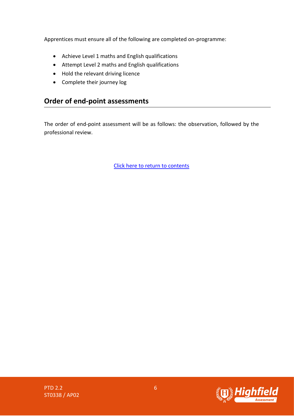Apprentices must ensure all of the following are completed on-programme:

- Achieve Level 1 maths and English qualifications
- Attempt Level 2 maths and English qualifications
- Hold the relevant driving licence
- Complete their journey log

# **Order of end-point assessments**

The order of end-point assessment will be as follows: the observation, followed by the professional review.

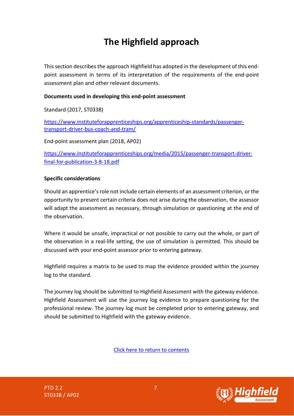# **The Highfield approach**

<span id="page-7-0"></span>This section describes the approach Highfield has adopted in the development of this endpoint assessment in terms of its interpretation of the requirements of the end-point assessment plan and other relevant documents.

#### **Documents used in developing this end-point assessment**

Standard (2017, ST0338)

[https://www.instituteforapprenticeships.org/apprenticeship-standards/passenger](https://www.instituteforapprenticeships.org/apprenticeship-standards/passenger-transport-driver-bus-coach-and-tram/)[transport-driver-bus-coach-and-tram/](https://www.instituteforapprenticeships.org/apprenticeship-standards/passenger-transport-driver-bus-coach-and-tram/)

End-point assessment plan (2018, AP02)

[https://www.instituteforapprenticeships.org/media/2015/passenger-transport-driver](https://www.instituteforapprenticeships.org/media/2015/passenger-transport-driver-final-for-publication-3-8-18.pdf)[final-for-publication-3-8-18.pdf](https://www.instituteforapprenticeships.org/media/2015/passenger-transport-driver-final-for-publication-3-8-18.pdf)

#### **Specific considerations**

Should an apprentice's role not include certain elements of an assessment criterion, or the opportunity to present certain criteria does not arise during the observation, the assessor will adapt the assessment as necessary, through simulation or questioning at the end of the observation.

Where it would be unsafe, impractical or not possible to carry out the whole, or part of the observation in a real-life setting, the use of simulation is permitted. This should be discussed with your end-point assessor prior to entering gateway.

Highfield requires a matrix to be used to map the evidence provided within the journey log to the standard.

The journey log should be submitted to Highfield Assessment with the gateway evidence. Highfield Assessment will use the journey log evidence to prepare questioning for the professional review. The journey log must be completed prior to entering gateway, and should be submitted to Highfield with the gateway evidence.

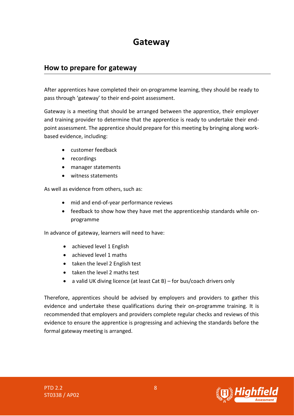# **Gateway**

### <span id="page-8-0"></span>**How to prepare for gateway**

After apprentices have completed their on-programme learning, they should be ready to pass through 'gateway' to their end-point assessment.

Gateway is a meeting that should be arranged between the apprentice, their employer and training provider to determine that the apprentice is ready to undertake their endpoint assessment. The apprentice should prepare for this meeting by bringing along workbased evidence, including:

- customer feedback
- recordings
- manager statements
- witness statements

As well as evidence from others, such as:

- mid and end-of-year performance reviews
- feedback to show how they have met the apprenticeship standards while onprogramme

In advance of gateway, learners will need to have:

- achieved level 1 English
- achieved level 1 maths
- taken the level 2 English test
- taken the level 2 maths test
- a valid UK diving licence (at least Cat B) for bus/coach drivers only

Therefore, apprentices should be advised by employers and providers to gather this evidence and undertake these qualifications during their on-programme training. It is recommended that employers and providers complete regular checks and reviews of this evidence to ensure the apprentice is progressing and achieving the standards before the formal gateway meeting is arranged.

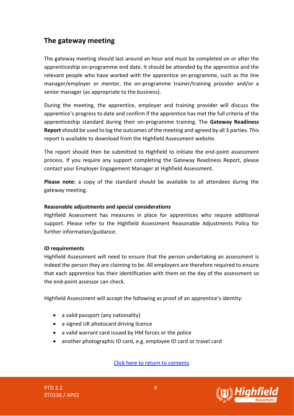# **The gateway meeting**

The gateway meeting should last around an hour and must be completed on or after the apprenticeship on-programme end date. It should be attended by the apprentice and the relevant people who have worked with the apprentice on-programme, such as the line manager/employer or mentor, the on-programme trainer/training provider and/or a senior manager (as appropriate to the business).

During the meeting, the apprentice, employer and training provider will discuss the apprentice's progress to date and confirm if the apprentice has met the full criteria of the apprenticeship standard during their on-programme training. The **Gateway Readiness Report** should be used to log the outcomes of the meeting and agreed by all 3 parties. This report is available to download from the Highfield Assessment website.

The report should then be submitted to Highfield to initiate the end-point assessment process. If you require any support completing the Gateway Readiness Report, please contact your Employer Engagement Manager at Highfield Assessment.

**Please note:** a copy of the standard should be available to all attendees during the gateway meeting.

#### **Reasonable adjustments and special considerations**

Highfield Assessment has measures in place for apprentices who require additional support. Please refer to the Highfield Assessment Reasonable Adjustments Policy for further information/guidance.

#### **ID requirements**

Highfield Assessment will need to ensure that the person undertaking an assessment is indeed the person they are claiming to be. All employers are therefore required to ensure that each apprentice has their identification with them on the day of the assessment so the end-point assessor can check.

Highfield Assessment will accept the following as proof of an apprentice's identity:

- a valid passport (any nationality)
- a signed UK photocard driving licence
- a valid warrant card issued by HM forces or the police
- <span id="page-9-0"></span>• another photographic ID card, e.g. employee ID card or travel card

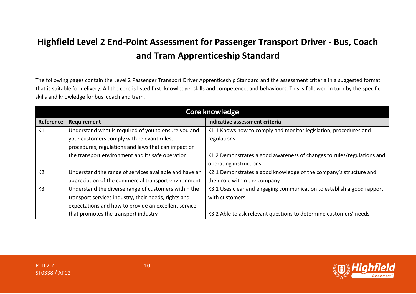# **Highfield Level 2 End-Point Assessment for Passenger Transport Driver - Bus, Coach and Tram Apprenticeship Standard**

The following pages contain the Level 2 Passenger Transport Driver Apprenticeship Standard and the assessment criteria in a suggested format that is suitable for delivery. All the core is listed first: knowledge, skills and competence, and behaviours. This is followed in turn by the specific skills and knowledge for bus, coach and tram.

|                | <b>Core knowledge</b>                                  |                                                                        |  |
|----------------|--------------------------------------------------------|------------------------------------------------------------------------|--|
| Reference      | Requirement                                            | Indicative assessment criteria                                         |  |
| K1             | Understand what is required of you to ensure you and   | K1.1 Knows how to comply and monitor legislation, procedures and       |  |
|                | your customers comply with relevant rules,             | regulations                                                            |  |
|                | procedures, regulations and laws that can impact on    |                                                                        |  |
|                | the transport environment and its safe operation       | K1.2 Demonstrates a good awareness of changes to rules/regulations and |  |
|                |                                                        | operating instructions                                                 |  |
| K <sub>2</sub> | Understand the range of services available and have an | K2.1 Demonstrates a good knowledge of the company's structure and      |  |
|                | appreciation of the commercial transport environment   | their role within the company                                          |  |
| K3             | Understand the diverse range of customers within the   | K3.1 Uses clear and engaging communication to establish a good rapport |  |
|                | transport services industry, their needs, rights and   | with customers                                                         |  |
|                | expectations and how to provide an excellent service   |                                                                        |  |
|                | that promotes the transport industry                   | K3.2 Able to ask relevant questions to determine customers' needs      |  |

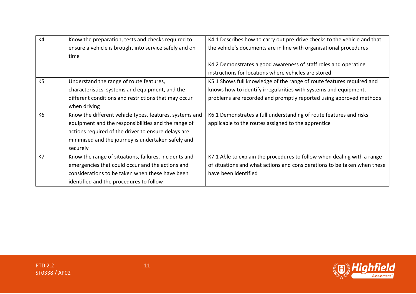| K <sub>4</sub> | Know the preparation, tests and checks required to      | K4.1 Describes how to carry out pre-drive checks to the vehicle and that |
|----------------|---------------------------------------------------------|--------------------------------------------------------------------------|
|                | ensure a vehicle is brought into service safely and on  | the vehicle's documents are in line with organisational procedures       |
|                | time                                                    |                                                                          |
|                |                                                         | K4.2 Demonstrates a good awareness of staff roles and operating          |
|                |                                                         | instructions for locations where vehicles are stored                     |
| K <sub>5</sub> | Understand the range of route features,                 | K5.1 Shows full knowledge of the range of route features required and    |
|                | characteristics, systems and equipment, and the         | knows how to identify irregularities with systems and equipment,         |
|                | different conditions and restrictions that may occur    | problems are recorded and promptly reported using approved methods       |
|                | when driving                                            |                                                                          |
| K <sub>6</sub> | Know the different vehicle types, features, systems and | K6.1 Demonstrates a full understanding of route features and risks       |
|                | equipment and the responsibilities and the range of     | applicable to the routes assigned to the apprentice                      |
|                | actions required of the driver to ensure delays are     |                                                                          |
|                | minimised and the journey is undertaken safely and      |                                                                          |
|                | securely                                                |                                                                          |
| K7             | Know the range of situations, failures, incidents and   | K7.1 Able to explain the procedures to follow when dealing with a range  |
|                | emergencies that could occur and the actions and        | of situations and what actions and considerations to be taken when these |
|                | considerations to be taken when these have been         | have been identified                                                     |
|                | identified and the procedures to follow                 |                                                                          |

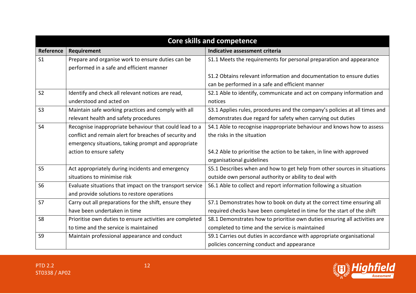| <b>Core skills and competence</b> |                                                          |                                                                            |
|-----------------------------------|----------------------------------------------------------|----------------------------------------------------------------------------|
| Reference                         | Requirement                                              | Indicative assessment criteria                                             |
| S <sub>1</sub>                    | Prepare and organise work to ensure duties can be        | S1.1 Meets the requirements for personal preparation and appearance        |
|                                   | performed in a safe and efficient manner                 |                                                                            |
|                                   |                                                          | S1.2 Obtains relevant information and documentation to ensure duties       |
|                                   |                                                          | can be performed in a safe and efficient manner                            |
| S <sub>2</sub>                    | Identify and check all relevant notices are read,        | S2.1 Able to identify, communicate and act on company information and      |
|                                   | understood and acted on                                  | notices                                                                    |
| S <sub>3</sub>                    | Maintain safe working practices and comply with all      | S3.1 Applies rules, procedures and the company's policies at all times and |
|                                   | relevant health and safety procedures                    | demonstrates due regard for safety when carrying out duties                |
| S <sub>4</sub>                    | Recognise inappropriate behaviour that could lead to a   | S4.1 Able to recognise inappropriate behaviour and knows how to assess     |
|                                   | conflict and remain alert for breaches of security and   | the risks in the situation                                                 |
|                                   | emergency situations, taking prompt and appropriate      |                                                                            |
|                                   | action to ensure safety                                  | S4.2 Able to prioritise the action to be taken, in line with approved      |
|                                   |                                                          | organisational guidelines                                                  |
| S <sub>5</sub>                    | Act appropriately during incidents and emergency         | S5.1 Describes when and how to get help from other sources in situations   |
|                                   | situations to minimise risk                              | outside own personal authority or ability to deal with                     |
| <b>S6</b>                         | Evaluate situations that impact on the transport service | S6.1 Able to collect and report information following a situation          |
|                                   | and provide solutions to restore operations              |                                                                            |
| S7                                | Carry out all preparations for the shift, ensure they    | S7.1 Demonstrates how to book on duty at the correct time ensuring all     |
|                                   | have been undertaken in time                             | required checks have been completed in time for the start of the shift     |
| S <sub>8</sub>                    | Prioritise own duties to ensure activities are completed | S8.1 Demonstrates how to prioritise own duties ensuring all activities are |
|                                   | to time and the service is maintained                    | completed to time and the service is maintained                            |
| S <sub>9</sub>                    | Maintain professional appearance and conduct             | S9.1 Carries out duties in accordance with appropriate organisational      |
|                                   |                                                          | policies concerning conduct and appearance                                 |

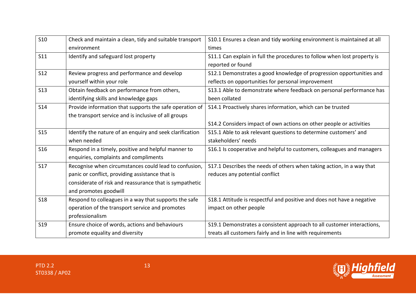| <b>S10</b> | Check and maintain a clean, tidy and suitable transport  | S10.1 Ensures a clean and tidy working environment is maintained at all  |
|------------|----------------------------------------------------------|--------------------------------------------------------------------------|
|            | environment                                              | times                                                                    |
| <b>S11</b> | Identify and safeguard lost property                     | S11.1 Can explain in full the procedures to follow when lost property is |
|            |                                                          | reported or found                                                        |
| <b>S12</b> | Review progress and performance and develop              | S12.1 Demonstrates a good knowledge of progression opportunities and     |
|            | yourself within your role                                | reflects on opportunities for personal improvement                       |
| <b>S13</b> | Obtain feedback on performance from others,              | S13.1 Able to demonstrate where feedback on personal performance has     |
|            | identifying skills and knowledge gaps                    | been collated                                                            |
| <b>S14</b> | Provide information that supports the safe operation of  | S14.1 Proactively shares information, which can be trusted               |
|            | the transport service and is inclusive of all groups     |                                                                          |
|            |                                                          | S14.2 Considers impact of own actions on other people or activities      |
| <b>S15</b> | Identify the nature of an enquiry and seek clarification | S15.1 Able to ask relevant questions to determine customers' and         |
|            | when needed                                              | stakeholders' needs                                                      |
| <b>S16</b> | Respond in a timely, positive and helpful manner to      | S16.1 Is cooperative and helpful to customers, colleagues and managers   |
|            | enquiries, complaints and compliments                    |                                                                          |
| <b>S17</b> | Recognise when circumstances could lead to confusion,    | S17.1 Describes the needs of others when taking action, in a way that    |
|            | panic or conflict, providing assistance that is          | reduces any potential conflict                                           |
|            | considerate of risk and reassurance that is sympathetic  |                                                                          |
|            | and promotes goodwill                                    |                                                                          |
| <b>S18</b> | Respond to colleagues in a way that supports the safe    | S18.1 Attitude is respectful and positive and does not have a negative   |
|            | operation of the transport service and promotes          | impact on other people                                                   |
|            | professionalism                                          |                                                                          |
| <b>S19</b> | Ensure choice of words, actions and behaviours           | S19.1 Demonstrates a consistent approach to all customer interactions,   |
|            |                                                          |                                                                          |

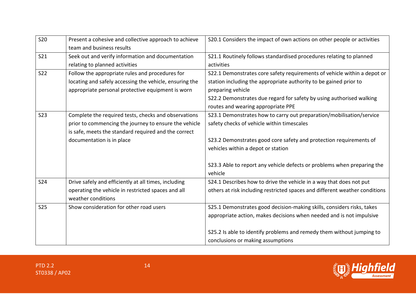| <b>S20</b> | Present a cohesive and collective approach to achieve   | S20.1 Considers the impact of own actions on other people or activities     |
|------------|---------------------------------------------------------|-----------------------------------------------------------------------------|
|            | team and business results                               |                                                                             |
| <b>S21</b> | Seek out and verify information and documentation       | S21.1 Routinely follows standardised procedures relating to planned         |
|            | relating to planned activities                          | activities                                                                  |
| <b>S22</b> | Follow the appropriate rules and procedures for         | S22.1 Demonstrates core safety requirements of vehicle within a depot or    |
|            | locating and safely accessing the vehicle, ensuring the | station including the appropriate authority to be gained prior to           |
|            | appropriate personal protective equipment is worn       | preparing vehicle                                                           |
|            |                                                         | S22.2 Demonstrates due regard for safety by using authorised walking        |
|            |                                                         | routes and wearing appropriate PPE                                          |
| <b>S23</b> | Complete the required tests, checks and observations    | S23.1 Demonstrates how to carry out preparation/mobilisation/service        |
|            | prior to commencing the journey to ensure the vehicle   | safety checks of vehicle within timescales                                  |
|            | is safe, meets the standard required and the correct    |                                                                             |
|            | documentation is in place                               | S23.2 Demonstrates good core safety and protection requirements of          |
|            |                                                         | vehicles within a depot or station                                          |
|            |                                                         |                                                                             |
|            |                                                         | S23.3 Able to report any vehicle defects or problems when preparing the     |
|            |                                                         | vehicle                                                                     |
| <b>S24</b> | Drive safely and efficiently at all times, including    | S24.1 Describes how to drive the vehicle in a way that does not put         |
|            | operating the vehicle in restricted spaces and all      | others at risk including restricted spaces and different weather conditions |
|            | weather conditions                                      |                                                                             |
| <b>S25</b> | Show consideration for other road users                 | S25.1 Demonstrates good decision-making skills, considers risks, takes      |
|            |                                                         | appropriate action, makes decisions when needed and is not impulsive        |
|            |                                                         |                                                                             |
|            |                                                         | S25.2 Is able to identify problems and remedy them without jumping to       |
|            |                                                         | conclusions or making assumptions                                           |

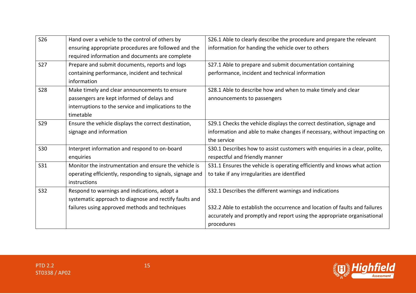| <b>S26</b> | Hand over a vehicle to the control of others by           | S26.1 Able to clearly describe the procedure and prepare the relevant      |
|------------|-----------------------------------------------------------|----------------------------------------------------------------------------|
|            | ensuring appropriate procedures are followed and the      | information for handing the vehicle over to others                         |
|            | required information and documents are complete           |                                                                            |
| <b>S27</b> | Prepare and submit documents, reports and logs            | S27.1 Able to prepare and submit documentation containing                  |
|            | containing performance, incident and technical            | performance, incident and technical information                            |
|            | information                                               |                                                                            |
| <b>S28</b> | Make timely and clear announcements to ensure             | S28.1 Able to describe how and when to make timely and clear               |
|            | passengers are kept informed of delays and                | announcements to passengers                                                |
|            | interruptions to the service and implications to the      |                                                                            |
|            | timetable                                                 |                                                                            |
| <b>S29</b> | Ensure the vehicle displays the correct destination,      | S29.1 Checks the vehicle displays the correct destination, signage and     |
|            | signage and information                                   | information and able to make changes if necessary, without impacting on    |
|            |                                                           | the service                                                                |
| <b>S30</b> | Interpret information and respond to on-board             | S30.1 Describes how to assist customers with enquiries in a clear, polite, |
|            | enquiries                                                 | respectful and friendly manner                                             |
| <b>S31</b> | Monitor the instrumentation and ensure the vehicle is     | S31.1 Ensures the vehicle is operating efficiently and knows what action   |
|            | operating efficiently, responding to signals, signage and | to take if any irregularities are identified                               |
|            | instructions                                              |                                                                            |
| <b>S32</b> | Respond to warnings and indications, adopt a              | S32.1 Describes the different warnings and indications                     |
|            | systematic approach to diagnose and rectify faults and    |                                                                            |
|            | failures using approved methods and techniques            | S32.2 Able to establish the occurrence and location of faults and failures |
|            |                                                           | accurately and promptly and report using the appropriate organisational    |
|            |                                                           | procedures                                                                 |

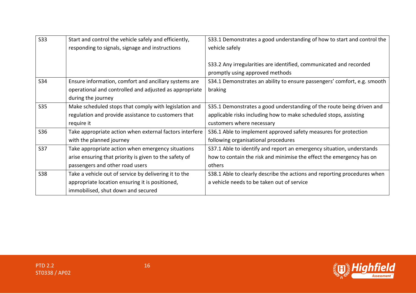| <b>S33</b> | Start and control the vehicle safely and efficiently,   | \$33.1 Demonstrates a good understanding of how to start and control the |
|------------|---------------------------------------------------------|--------------------------------------------------------------------------|
|            | responding to signals, signage and instructions         | vehicle safely                                                           |
|            |                                                         |                                                                          |
|            |                                                         | S33.2 Any irregularities are identified, communicated and recorded       |
|            |                                                         | promptly using approved methods                                          |
| <b>S34</b> | Ensure information, comfort and ancillary systems are   | S34.1 Demonstrates an ability to ensure passengers' comfort, e.g. smooth |
|            | operational and controlled and adjusted as appropriate  | braking                                                                  |
|            | during the journey                                      |                                                                          |
| <b>S35</b> | Make scheduled stops that comply with legislation and   | S35.1 Demonstrates a good understanding of the route being driven and    |
|            | regulation and provide assistance to customers that     | applicable risks including how to make scheduled stops, assisting        |
|            | require it                                              | customers where necessary                                                |
| <b>S36</b> | Take appropriate action when external factors interfere | S36.1 Able to implement approved safety measures for protection          |
|            | with the planned journey                                | following organisational procedures                                      |
| <b>S37</b> | Take appropriate action when emergency situations       | S37.1 Able to identify and report an emergency situation, understands    |
|            | arise ensuring that priority is given to the safety of  | how to contain the risk and minimise the effect the emergency has on     |
|            | passengers and other road users                         | others                                                                   |
| <b>S38</b> | Take a vehicle out of service by delivering it to the   | S38.1 Able to clearly describe the actions and reporting procedures when |
|            | appropriate location ensuring it is positioned,         | a vehicle needs to be taken out of service                               |
|            | immobilised, shut down and secured                      |                                                                          |

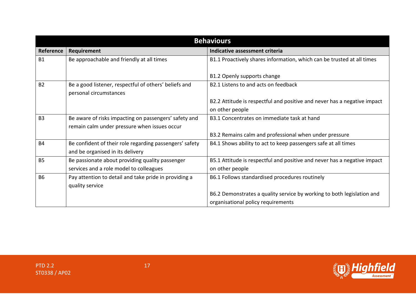| <b>Behaviours</b> |                                                                                 |                                                                          |
|-------------------|---------------------------------------------------------------------------------|--------------------------------------------------------------------------|
| <b>Reference</b>  | Requirement                                                                     | Indicative assessment criteria                                           |
| <b>B1</b>         | Be approachable and friendly at all times                                       | B1.1 Proactively shares information, which can be trusted at all times   |
|                   |                                                                                 | B1.2 Openly supports change                                              |
| <b>B2</b>         | Be a good listener, respectful of others' beliefs and<br>personal circumstances | B2.1 Listens to and acts on feedback                                     |
|                   |                                                                                 | B2.2 Attitude is respectful and positive and never has a negative impact |
|                   |                                                                                 | on other people                                                          |
| <b>B3</b>         | Be aware of risks impacting on passengers' safety and                           | B3.1 Concentrates on immediate task at hand                              |
|                   | remain calm under pressure when issues occur                                    |                                                                          |
|                   |                                                                                 | B3.2 Remains calm and professional when under pressure                   |
| <b>B4</b>         | Be confident of their role regarding passengers' safety                         | B4.1 Shows ability to act to keep passengers safe at all times           |
|                   | and be organised in its delivery                                                |                                                                          |
| <b>B5</b>         | Be passionate about providing quality passenger                                 | B5.1 Attitude is respectful and positive and never has a negative impact |
|                   | services and a role model to colleagues                                         | on other people                                                          |
| <b>B6</b>         | Pay attention to detail and take pride in providing a                           | B6.1 Follows standardised procedures routinely                           |
|                   | quality service                                                                 |                                                                          |
|                   |                                                                                 | B6.2 Demonstrates a quality service by working to both legislation and   |
|                   |                                                                                 | organisational policy requirements                                       |

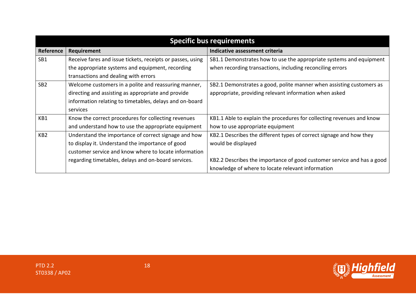|                 | <b>Specific bus requirements</b>                           |                                                                        |  |
|-----------------|------------------------------------------------------------|------------------------------------------------------------------------|--|
| Reference       | Requirement                                                | Indicative assessment criteria                                         |  |
| SB1             | Receive fares and issue tickets, receipts or passes, using | SB1.1 Demonstrates how to use the appropriate systems and equipment    |  |
|                 | the appropriate systems and equipment, recording           | when recording transactions, including reconciling errors              |  |
|                 | transactions and dealing with errors                       |                                                                        |  |
| SB <sub>2</sub> | Welcome customers in a polite and reassuring manner,       | SB2.1 Demonstrates a good, polite manner when assisting customers as   |  |
|                 | directing and assisting as appropriate and provide         | appropriate, providing relevant information when asked                 |  |
|                 | information relating to timetables, delays and on-board    |                                                                        |  |
|                 | services                                                   |                                                                        |  |
| KB1             | Know the correct procedures for collecting revenues        | KB1.1 Able to explain the procedures for collecting revenues and know  |  |
|                 | and understand how to use the appropriate equipment        | how to use appropriate equipment                                       |  |
| KB <sub>2</sub> | Understand the importance of correct signage and how       | KB2.1 Describes the different types of correct signage and how they    |  |
|                 | to display it. Understand the importance of good           | would be displayed                                                     |  |
|                 | customer service and know where to locate information      |                                                                        |  |
|                 | regarding timetables, delays and on-board services.        | KB2.2 Describes the importance of good customer service and has a good |  |
|                 |                                                            | knowledge of where to locate relevant information                      |  |

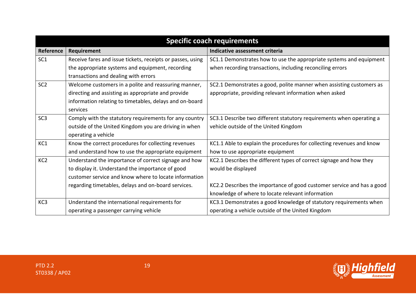|                 | <b>Specific coach requirements</b>                         |                                                                        |  |
|-----------------|------------------------------------------------------------|------------------------------------------------------------------------|--|
| Reference       | Requirement                                                | Indicative assessment criteria                                         |  |
| SC <sub>1</sub> | Receive fares and issue tickets, receipts or passes, using | SC1.1 Demonstrates how to use the appropriate systems and equipment    |  |
|                 | the appropriate systems and equipment, recording           | when recording transactions, including reconciling errors              |  |
|                 | transactions and dealing with errors                       |                                                                        |  |
| SC <sub>2</sub> | Welcome customers in a polite and reassuring manner,       | SC2.1 Demonstrates a good, polite manner when assisting customers as   |  |
|                 | directing and assisting as appropriate and provide         | appropriate, providing relevant information when asked                 |  |
|                 | information relating to timetables, delays and on-board    |                                                                        |  |
|                 | services                                                   |                                                                        |  |
| SC <sub>3</sub> | Comply with the statutory requirements for any country     | SC3.1 Describe two different statutory requirements when operating a   |  |
|                 | outside of the United Kingdom you are driving in when      | vehicle outside of the United Kingdom                                  |  |
|                 | operating a vehicle                                        |                                                                        |  |
| KC1             | Know the correct procedures for collecting revenues        | KC1.1 Able to explain the procedures for collecting revenues and know  |  |
|                 | and understand how to use the appropriate equipment        | how to use appropriate equipment                                       |  |
| KC <sub>2</sub> | Understand the importance of correct signage and how       | KC2.1 Describes the different types of correct signage and how they    |  |
|                 | to display it. Understand the importance of good           | would be displayed                                                     |  |
|                 | customer service and know where to locate information      |                                                                        |  |
|                 | regarding timetables, delays and on-board services.        | KC2.2 Describes the importance of good customer service and has a good |  |
|                 |                                                            | knowledge of where to locate relevant information                      |  |
| KC3             | Understand the international requirements for              | KC3.1 Demonstrates a good knowledge of statutory requirements when     |  |
|                 | operating a passenger carrying vehicle                     | operating a vehicle outside of the United Kingdom                      |  |

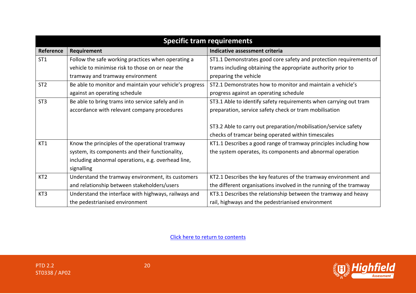| <b>Specific tram requirements</b> |                                                         |                                                                    |
|-----------------------------------|---------------------------------------------------------|--------------------------------------------------------------------|
| Reference                         | Requirement                                             | Indicative assessment criteria                                     |
| ST <sub>1</sub>                   | Follow the safe working practices when operating a      | ST1.1 Demonstrates good core safety and protection requirements of |
|                                   | vehicle to minimise risk to those on or near the        | trams including obtaining the appropriate authority prior to       |
|                                   | tramway and tramway environment                         | preparing the vehicle                                              |
| ST <sub>2</sub>                   | Be able to monitor and maintain your vehicle's progress | ST2.1 Demonstrates how to monitor and maintain a vehicle's         |
|                                   | against an operating schedule                           | progress against an operating schedule                             |
| ST <sub>3</sub>                   | Be able to bring trams into service safely and in       | ST3.1 Able to identify safety requirements when carrying out tram  |
|                                   | accordance with relevant company procedures             | preparation, service safety check or tram mobilisation             |
|                                   |                                                         |                                                                    |
|                                   |                                                         | ST3.2 Able to carry out preparation/mobilisation/service safety    |
|                                   |                                                         | checks of tramcar being operated within timescales                 |
| KT1                               | Know the principles of the operational tramway          | KT1.1 Describes a good range of tramway principles including how   |
|                                   | system, its components and their functionality,         | the system operates, its components and abnormal operation         |
|                                   | including abnormal operations, e.g. overhead line,      |                                                                    |
|                                   | signalling                                              |                                                                    |
| KT <sub>2</sub>                   | Understand the tramway environment, its customers       | KT2.1 Describes the key features of the tramway environment and    |
|                                   | and relationship between stakeholders/users             | the different organisations involved in the running of the tramway |
| KT3                               | Understand the interface with highways, railways and    | KT3.1 Describes the relationship between the tramway and heavy     |
|                                   | the pedestrianised environment                          | rail, highways and the pedestrianised environment                  |

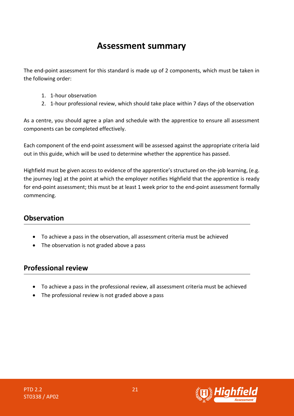# **Assessment summary**

<span id="page-21-0"></span>The end-point assessment for this standard is made up of 2 components, which must be taken in the following order:

- 1. 1-hour observation
- 2. 1-hour professional review, which should take place within 7 days of the observation

As a centre, you should agree a plan and schedule with the apprentice to ensure all assessment components can be completed effectively.

Each component of the end-point assessment will be assessed against the appropriate criteria laid out in this guide, which will be used to determine whether the apprentice has passed.

Highfield must be given access to evidence of the apprentice's structured on-the-job learning, (e.g. the journey log) at the point at which the employer notifies Highfield that the apprentice is ready for end-point assessment; this must be at least 1 week prior to the end-point assessment formally commencing.

### **Observation**

- To achieve a pass in the observation, all assessment criteria must be achieved
- The observation is not graded above a pass

# **Professional review**

- To achieve a pass in the professional review, all assessment criteria must be achieved
- The professional review is not graded above a pass



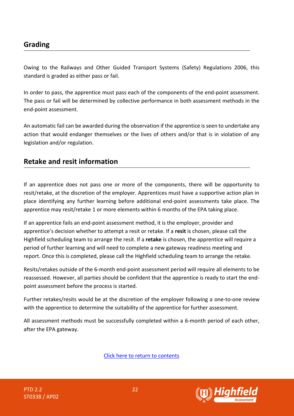# **Grading**

Owing to the Railways and Other Guided Transport Systems (Safety) Regulations 2006, this standard is graded as either pass or fail.

In order to pass, the apprentice must pass each of the components of the end-point assessment. The pass or fail will be determined by collective performance in both assessment methods in the end-point assessment.

An automatic fail can be awarded during the observation if the apprentice is seen to undertake any action that would endanger themselves or the lives of others and/or that is in violation of any legislation and/or regulation.

### **Retake and resit information**

If an apprentice does not pass one or more of the components, there will be opportunity to resit/retake, at the discretion of the employer. Apprentices must have a supportive action plan in place identifying any further learning before additional end-point assessments take place. The apprentice may resit/retake 1 or more elements within 6 months of the EPA taking place.

If an apprentice fails an end-point assessment method, it is the employer, provider and apprentice's decision whether to attempt a resit or retake. If a **resit** is chosen, please call the Highfield scheduling team to arrange the resit. If a **retake** is chosen, the apprentice will require a period of further learning and will need to complete a new gateway readiness meeting and report. Once this is completed, please call the Highfield scheduling team to arrange the retake.

Resits/retakes outside of the 6-month end-point assessment period will require all elements to be reassessed. However, all parties should be confident that the apprentice is ready to start the endpoint assessment before the process is started.

Further retakes/resits would be at the discretion of the employer following a one-to-one review with the apprentice to determine the suitability of the apprentice for further assessment.

All assessment methods must be successfully completed within a 6-month period of each other, after the EPA gateway.



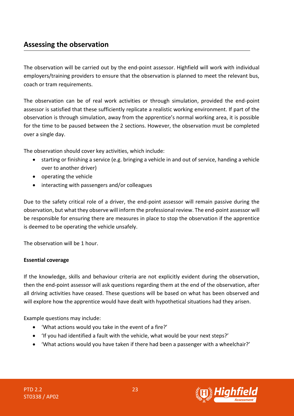<span id="page-23-0"></span>The observation will be carried out by the end-point assessor. Highfield will work with individual employers/training providers to ensure that the observation is planned to meet the relevant bus, coach or tram requirements.

The observation can be of real work activities or through simulation, provided the end-point assessor is satisfied that these sufficiently replicate a realistic working environment. If part of the observation is through simulation, away from the apprentice's normal working area, it is possible for the time to be paused between the 2 sections. However, the observation must be completed over a single day.

The observation should cover key activities, which include:

- starting or finishing a service (e.g. bringing a vehicle in and out of service, handing a vehicle over to another driver)
- operating the vehicle
- interacting with passengers and/or colleagues

Due to the safety critical role of a driver, the end-point assessor will remain passive during the observation, but what they observe will inform the professional review. The end-point assessor will be responsible for ensuring there are measures in place to stop the observation if the apprentice is deemed to be operating the vehicle unsafely.

The observation will be 1 hour.

#### **Essential coverage**

If the knowledge, skills and behaviour criteria are not explicitly evident during the observation, then the end-point assessor will ask questions regarding them at the end of the observation, after all driving activities have ceased. These questions will be based on what has been observed and will explore how the apprentice would have dealt with hypothetical situations had they arisen.

Example questions may include:

- 'What actions would you take in the event of a fire?'
- 'If you had identified a fault with the vehicle, what would be your next steps?'
- 'What actions would you have taken if there had been a passenger with a wheelchair?'

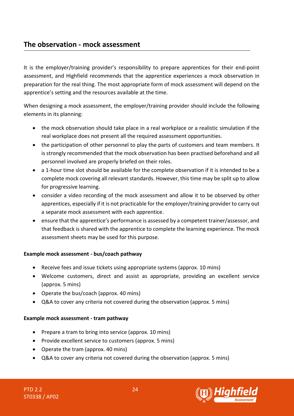## **The observation - mock assessment**

It is the employer/training provider's responsibility to prepare apprentices for their end-point assessment, and Highfield recommends that the apprentice experiences a mock observation in preparation for the real thing. The most appropriate form of mock assessment will depend on the apprentice's setting and the resources available at the time.

When designing a mock assessment, the employer/training provider should include the following elements in its planning:

- the mock observation should take place in a real workplace or a realistic simulation if the real workplace does not present all the required assessment opportunities.
- the participation of other personnel to play the parts of customers and team members. It is strongly recommended that the mock observation has been practised beforehand and all personnel involved are properly briefed on their roles.
- a 1-hour time slot should be available for the complete observation if it is intended to be a complete mock covering all relevant standards. However, this time may be split up to allow for progressive learning.
- consider a video recording of the mock assessment and allow it to be observed by other apprentices, especially if it is not practicable for the employer/training provider to carry out a separate mock assessment with each apprentice.
- ensure that the apprentice's performance is assessed by a competent trainer/assessor, and that feedback is shared with the apprentice to complete the learning experience. The mock assessment sheets may be used for this purpose.

#### **Example mock assessment - bus/coach pathway**

- Receive fees and issue tickets using appropriate systems (approx. 10 mins)
- Welcome customers, direct and assist as appropriate, providing an excellent service (approx. 5 mins)
- Operate the bus/coach (approx. 40 mins)
- Q&A to cover any criteria not covered during the observation (approx. 5 mins)

#### **Example mock assessment - tram pathway**

- Prepare a tram to bring into service (approx. 10 mins)
- Provide excellent service to customers (approx. 5 mins)
- Operate the tram (approx. 40 mins)
- Q&A to cover any criteria not covered during the observation (approx. 5 mins)

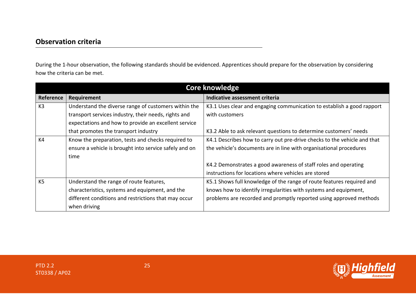During the 1-hour observation, the following standards should be evidenced. Apprentices should prepare for the observation by considering how the criteria can be met.

| <b>Core knowledge</b> |                                                        |                                                                          |
|-----------------------|--------------------------------------------------------|--------------------------------------------------------------------------|
| Reference             | Requirement                                            | Indicative assessment criteria                                           |
| K3                    | Understand the diverse range of customers within the   | K3.1 Uses clear and engaging communication to establish a good rapport   |
|                       | transport services industry, their needs, rights and   | with customers                                                           |
|                       | expectations and how to provide an excellent service   |                                                                          |
|                       | that promotes the transport industry                   | K3.2 Able to ask relevant questions to determine customers' needs        |
| K <sub>4</sub>        | Know the preparation, tests and checks required to     | K4.1 Describes how to carry out pre-drive checks to the vehicle and that |
|                       | ensure a vehicle is brought into service safely and on | the vehicle's documents are in line with organisational procedures       |
|                       | time                                                   |                                                                          |
|                       |                                                        | K4.2 Demonstrates a good awareness of staff roles and operating          |
|                       |                                                        | instructions for locations where vehicles are stored                     |
| K <sub>5</sub>        | Understand the range of route features,                | K5.1 Shows full knowledge of the range of route features required and    |
|                       | characteristics, systems and equipment, and the        | knows how to identify irregularities with systems and equipment,         |
|                       | different conditions and restrictions that may occur   | problems are recorded and promptly reported using approved methods       |
|                       | when driving                                           |                                                                          |

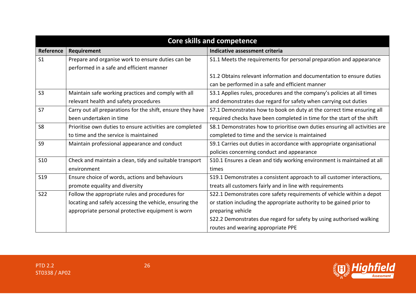| <b>Core skills and competence</b> |                                                            |                                                                            |
|-----------------------------------|------------------------------------------------------------|----------------------------------------------------------------------------|
| Reference                         | Requirement                                                | Indicative assessment criteria                                             |
| S <sub>1</sub>                    | Prepare and organise work to ensure duties can be          | S1.1 Meets the requirements for personal preparation and appearance        |
|                                   | performed in a safe and efficient manner                   |                                                                            |
|                                   |                                                            | S1.2 Obtains relevant information and documentation to ensure duties       |
|                                   |                                                            | can be performed in a safe and efficient manner                            |
| S <sub>3</sub>                    | Maintain safe working practices and comply with all        | S3.1 Applies rules, procedures and the company's policies at all times     |
|                                   | relevant health and safety procedures                      | and demonstrates due regard for safety when carrying out duties            |
| S7                                | Carry out all preparations for the shift, ensure they have | S7.1 Demonstrates how to book on duty at the correct time ensuring all     |
|                                   | been undertaken in time                                    | required checks have been completed in time for the start of the shift     |
| S <sub>8</sub>                    | Prioritise own duties to ensure activities are completed   | S8.1 Demonstrates how to prioritise own duties ensuring all activities are |
|                                   | to time and the service is maintained                      | completed to time and the service is maintained                            |
| S <sub>9</sub>                    | Maintain professional appearance and conduct               | S9.1 Carries out duties in accordance with appropriate organisational      |
|                                   |                                                            | policies concerning conduct and appearance                                 |
| <b>S10</b>                        | Check and maintain a clean, tidy and suitable transport    | S10.1 Ensures a clean and tidy working environment is maintained at all    |
|                                   | environment                                                | times                                                                      |
| <b>S19</b>                        | Ensure choice of words, actions and behaviours             | S19.1 Demonstrates a consistent approach to all customer interactions,     |
|                                   | promote equality and diversity                             | treats all customers fairly and in line with requirements                  |
| <b>S22</b>                        | Follow the appropriate rules and procedures for            | S22.1 Demonstrates core safety requirements of vehicle within a depot      |
|                                   | locating and safely accessing the vehicle, ensuring the    | or station including the appropriate authority to be gained prior to       |
|                                   | appropriate personal protective equipment is worn          | preparing vehicle                                                          |
|                                   |                                                            | S22.2 Demonstrates due regard for safety by using authorised walking       |
|                                   |                                                            | routes and wearing appropriate PPE                                         |

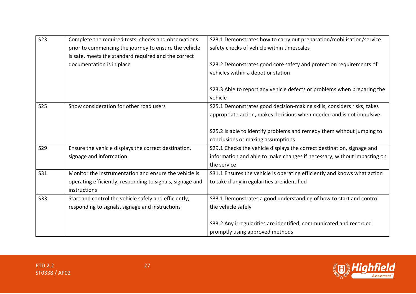| <b>S23</b> | Complete the required tests, checks and observations      | S23.1 Demonstrates how to carry out preparation/mobilisation/service     |
|------------|-----------------------------------------------------------|--------------------------------------------------------------------------|
|            | prior to commencing the journey to ensure the vehicle     | safety checks of vehicle within timescales                               |
|            | is safe, meets the standard required and the correct      |                                                                          |
|            | documentation is in place                                 | S23.2 Demonstrates good core safety and protection requirements of       |
|            |                                                           | vehicles within a depot or station                                       |
|            |                                                           |                                                                          |
|            |                                                           | S23.3 Able to report any vehicle defects or problems when preparing the  |
|            |                                                           | vehicle                                                                  |
| <b>S25</b> | Show consideration for other road users                   | S25.1 Demonstrates good decision-making skills, considers risks, takes   |
|            |                                                           | appropriate action, makes decisions when needed and is not impulsive     |
|            |                                                           |                                                                          |
|            |                                                           | S25.2 Is able to identify problems and remedy them without jumping to    |
|            |                                                           | conclusions or making assumptions                                        |
| <b>S29</b> | Ensure the vehicle displays the correct destination,      | S29.1 Checks the vehicle displays the correct destination, signage and   |
|            | signage and information                                   | information and able to make changes if necessary, without impacting on  |
|            |                                                           | the service                                                              |
| <b>S31</b> | Monitor the instrumentation and ensure the vehicle is     | S31.1 Ensures the vehicle is operating efficiently and knows what action |
|            | operating efficiently, responding to signals, signage and | to take if any irregularities are identified                             |
|            | instructions                                              |                                                                          |
| <b>S33</b> | Start and control the vehicle safely and efficiently,     | S33.1 Demonstrates a good understanding of how to start and control      |
|            | responding to signals, signage and instructions           | the vehicle safely                                                       |
|            |                                                           |                                                                          |
|            |                                                           | S33.2 Any irregularities are identified, communicated and recorded       |
|            |                                                           | promptly using approved methods                                          |

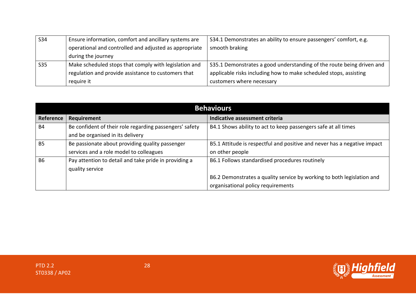| <b>S34</b> | Ensure information, comfort and ancillary systems are  | S34.1 Demonstrates an ability to ensure passengers' comfort, e.g.     |
|------------|--------------------------------------------------------|-----------------------------------------------------------------------|
|            | operational and controlled and adjusted as appropriate | smooth braking                                                        |
|            | during the journey                                     |                                                                       |
| <b>S35</b> | Make scheduled stops that comply with legislation and  | S35.1 Demonstrates a good understanding of the route being driven and |
|            | regulation and provide assistance to customers that    | applicable risks including how to make scheduled stops, assisting     |
|            | require it                                             | customers where necessary                                             |

| <b>Behaviours</b> |                                                         |                                                                          |
|-------------------|---------------------------------------------------------|--------------------------------------------------------------------------|
| Reference         | Requirement                                             | Indicative assessment criteria                                           |
| <b>B4</b>         | Be confident of their role regarding passengers' safety | B4.1 Shows ability to act to keep passengers safe at all times           |
|                   | and be organised in its delivery                        |                                                                          |
| <b>B5</b>         | Be passionate about providing quality passenger         | B5.1 Attitude is respectful and positive and never has a negative impact |
|                   | services and a role model to colleagues                 | on other people                                                          |
| <b>B6</b>         | Pay attention to detail and take pride in providing a   | B6.1 Follows standardised procedures routinely                           |
|                   | quality service                                         |                                                                          |
|                   |                                                         | B6.2 Demonstrates a quality service by working to both legislation and   |
|                   |                                                         | organisational policy requirements                                       |

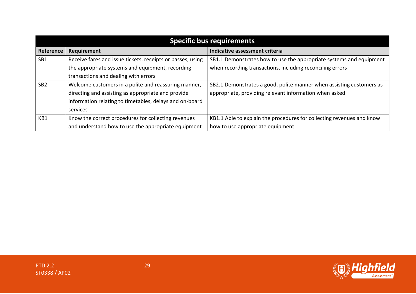| <b>Specific bus requirements</b> |                                                            |                                                                       |
|----------------------------------|------------------------------------------------------------|-----------------------------------------------------------------------|
| Reference                        | Requirement                                                | Indicative assessment criteria                                        |
| SB1                              | Receive fares and issue tickets, receipts or passes, using | SB1.1 Demonstrates how to use the appropriate systems and equipment   |
|                                  | the appropriate systems and equipment, recording           | when recording transactions, including reconciling errors             |
|                                  | transactions and dealing with errors                       |                                                                       |
| SB <sub>2</sub>                  | Welcome customers in a polite and reassuring manner,       | SB2.1 Demonstrates a good, polite manner when assisting customers as  |
|                                  | directing and assisting as appropriate and provide         | appropriate, providing relevant information when asked                |
|                                  | information relating to timetables, delays and on-board    |                                                                       |
|                                  | services                                                   |                                                                       |
| KB1                              | Know the correct procedures for collecting revenues        | KB1.1 Able to explain the procedures for collecting revenues and know |
|                                  | and understand how to use the appropriate equipment        | how to use appropriate equipment                                      |

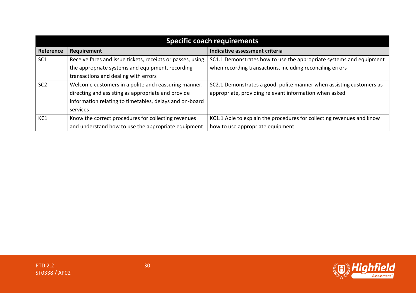|                 | <b>Specific coach requirements</b>                         |                                                                       |  |
|-----------------|------------------------------------------------------------|-----------------------------------------------------------------------|--|
| Reference       | Requirement                                                | Indicative assessment criteria                                        |  |
| SC <sub>1</sub> | Receive fares and issue tickets, receipts or passes, using | SC1.1 Demonstrates how to use the appropriate systems and equipment   |  |
|                 | the appropriate systems and equipment, recording           | when recording transactions, including reconciling errors             |  |
|                 | transactions and dealing with errors                       |                                                                       |  |
| SC <sub>2</sub> | Welcome customers in a polite and reassuring manner,       | SC2.1 Demonstrates a good, polite manner when assisting customers as  |  |
|                 | directing and assisting as appropriate and provide         | appropriate, providing relevant information when asked                |  |
|                 | information relating to timetables, delays and on-board    |                                                                       |  |
|                 | services                                                   |                                                                       |  |
| KC1             | Know the correct procedures for collecting revenues        | KC1.1 Able to explain the procedures for collecting revenues and know |  |
|                 | and understand how to use the appropriate equipment        | how to use appropriate equipment                                      |  |

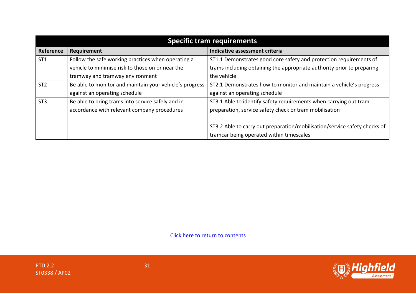| <b>Specific tram requirements</b> |                                                         |                                                                           |
|-----------------------------------|---------------------------------------------------------|---------------------------------------------------------------------------|
| Reference                         | Requirement                                             | Indicative assessment criteria                                            |
| ST <sub>1</sub>                   | Follow the safe working practices when operating a      | ST1.1 Demonstrates good core safety and protection requirements of        |
|                                   | vehicle to minimise risk to those on or near the        | trams including obtaining the appropriate authority prior to preparing    |
|                                   | tramway and tramway environment                         | the vehicle                                                               |
| ST <sub>2</sub>                   | Be able to monitor and maintain your vehicle's progress | ST2.1 Demonstrates how to monitor and maintain a vehicle's progress       |
|                                   | against an operating schedule                           | against an operating schedule                                             |
| ST <sub>3</sub>                   | Be able to bring trams into service safely and in       | ST3.1 Able to identify safety requirements when carrying out tram         |
|                                   | accordance with relevant company procedures             | preparation, service safety check or tram mobilisation                    |
|                                   |                                                         |                                                                           |
|                                   |                                                         | ST3.2 Able to carry out preparation/mobilisation/service safety checks of |
|                                   |                                                         | tramcar being operated within timescales                                  |

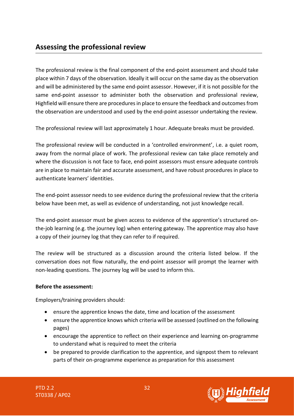<span id="page-32-0"></span>The professional review is the final component of the end-point assessment and should take place within 7 days of the observation. Ideally it will occur on the same day as the observation and will be administered by the same end-point assessor. However, if it is not possible for the same end-point assessor to administer both the observation and professional review, Highfield will ensure there are procedures in place to ensure the feedback and outcomes from the observation are understood and used by the end-point assessor undertaking the review.

The professional review will last approximately 1 hour. Adequate breaks must be provided.

The professional review will be conducted in a 'controlled environment', i.e. a quiet room, away from the normal place of work. The professional review can take place remotely and where the discussion is not face to face, end-point assessors must ensure adequate controls are in place to maintain fair and accurate assessment, and have robust procedures in place to authenticate learners' identities.

The end-point assessor needs to see evidence during the professional review that the criteria below have been met, as well as evidence of understanding, not just knowledge recall.

The end-point assessor must be given access to evidence of the apprentice's structured onthe-job learning (e.g. the journey log) when entering gateway. The apprentice may also have a copy of their journey log that they can refer to if required.

The review will be structured as a discussion around the criteria listed below. If the conversation does not flow naturally, the end-point assessor will prompt the learner with non-leading questions. The journey log will be used to inform this.

#### **Before the assessment:**

Employers/training providers should:

- ensure the apprentice knows the date, time and location of the assessment
- ensure the apprentice knows which criteria will be assessed (outlined on the following pages)
- encourage the apprentice to reflect on their experience and learning on-programme to understand what is required to meet the criteria
- be prepared to provide clarification to the apprentice, and signpost them to relevant parts of their on-programme experience as preparation for this assessment

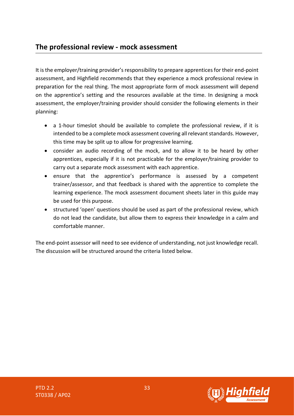### **The professional review - mock assessment**

It is the employer/training provider's responsibility to prepare apprentices for their end-point assessment, and Highfield recommends that they experience a mock professional review in preparation for the real thing. The most appropriate form of mock assessment will depend on the apprentice's setting and the resources available at the time. In designing a mock assessment, the employer/training provider should consider the following elements in their planning:

- a 1-hour timeslot should be available to complete the professional review, if it is intended to be a complete mock assessment covering all relevant standards. However, this time may be split up to allow for progressive learning.
- consider an audio recording of the mock, and to allow it to be heard by other apprentices, especially if it is not practicable for the employer/training provider to carry out a separate mock assessment with each apprentice.
- ensure that the apprentice's performance is assessed by a competent trainer/assessor, and that feedback is shared with the apprentice to complete the learning experience. The mock assessment document sheets later in this guide may be used for this purpose.
- structured 'open' questions should be used as part of the professional review, which do not lead the candidate, but allow them to express their knowledge in a calm and comfortable manner.

The end-point assessor will need to see evidence of understanding, not just knowledge recall. The discussion will be structured around the criteria listed below.

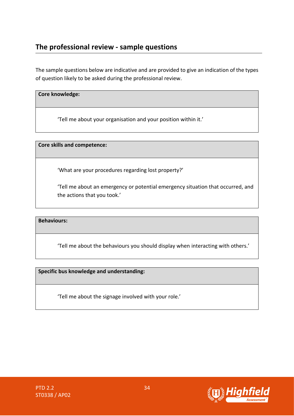# **The professional review - sample questions**

The sample questions below are indicative and are provided to give an indication of the types of question likely to be asked during the professional review.

#### **Core knowledge:**

'Tell me about your organisation and your position within it.'

**Core skills and competence:** 

'What are your procedures regarding lost property?'

'Tell me about an emergency or potential emergency situation that occurred, and the actions that you took.'

**Behaviours:**

'Tell me about the behaviours you should display when interacting with others.'

**Specific bus knowledge and understanding:**

'Tell me about the signage involved with your role.'



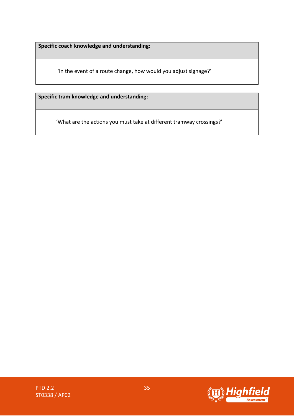**Specific coach knowledge and understanding:** 

'In the event of a route change, how would you adjust signage?'

**Specific tram knowledge and understanding:** 

'What are the actions you must take at different tramway crossings?'

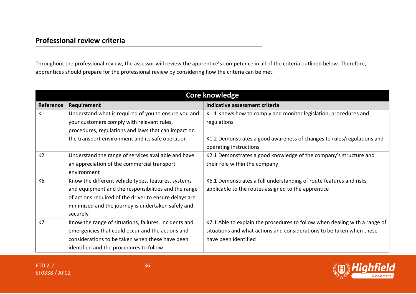# **Professional review criteria**

Throughout the professional review, the assessor will review the apprentice's competence in all of the criteria outlined below. Therefore, apprentices should prepare for the professional review by considering how the criteria can be met.

| <b>Core knowledge</b> |                                                        |                                                                            |
|-----------------------|--------------------------------------------------------|----------------------------------------------------------------------------|
| Reference             | Requirement                                            | Indicative assessment criteria                                             |
| K1                    | Understand what is required of you to ensure you and   | K1.1 Knows how to comply and monitor legislation, procedures and           |
|                       | your customers comply with relevant rules,             | regulations                                                                |
|                       | procedures, regulations and laws that can impact on    |                                                                            |
|                       | the transport environment and its safe operation       | K1.2 Demonstrates a good awareness of changes to rules/regulations and     |
|                       |                                                        | operating instructions                                                     |
| K <sub>2</sub>        | Understand the range of services available and have    | K2.1 Demonstrates a good knowledge of the company's structure and          |
|                       | an appreciation of the commercial transport            | their role within the company                                              |
|                       | environment                                            |                                                                            |
| K <sub>6</sub>        | Know the different vehicle types, features, systems    | K6.1 Demonstrates a full understanding of route features and risks         |
|                       | and equipment and the responsibilities and the range   | applicable to the routes assigned to the apprentice                        |
|                       | of actions required of the driver to ensure delays are |                                                                            |
|                       | minimised and the journey is undertaken safely and     |                                                                            |
|                       | securely                                               |                                                                            |
| K7                    | Know the range of situations, failures, incidents and  | K7.1 Able to explain the procedures to follow when dealing with a range of |
|                       | emergencies that could occur and the actions and       | situations and what actions and considerations to be taken when these      |
|                       | considerations to be taken when these have been        | have been identified                                                       |
|                       | identified and the procedures to follow                |                                                                            |



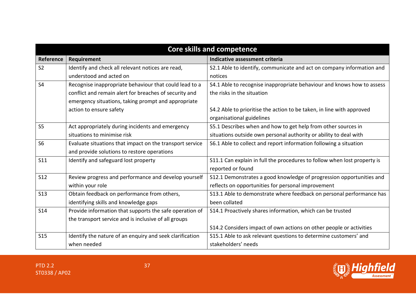| <b>Core skills and competence</b> |                                                          |                                                                          |
|-----------------------------------|----------------------------------------------------------|--------------------------------------------------------------------------|
| Reference                         | Requirement                                              | Indicative assessment criteria                                           |
| S <sub>2</sub>                    | Identify and check all relevant notices are read,        | S2.1 Able to identify, communicate and act on company information and    |
|                                   | understood and acted on                                  | notices                                                                  |
| <b>S4</b>                         | Recognise inappropriate behaviour that could lead to a   | S4.1 Able to recognise inappropriate behaviour and knows how to assess   |
|                                   | conflict and remain alert for breaches of security and   | the risks in the situation                                               |
|                                   | emergency situations, taking prompt and appropriate      |                                                                          |
|                                   | action to ensure safety                                  | S4.2 Able to prioritise the action to be taken, in line with approved    |
|                                   |                                                          | organisational guidelines                                                |
| <b>S5</b>                         | Act appropriately during incidents and emergency         | S5.1 Describes when and how to get help from other sources in            |
|                                   | situations to minimise risk                              | situations outside own personal authority or ability to deal with        |
| S <sub>6</sub>                    | Evaluate situations that impact on the transport service | S6.1 Able to collect and report information following a situation        |
|                                   | and provide solutions to restore operations              |                                                                          |
| S11                               | Identify and safeguard lost property                     | S11.1 Can explain in full the procedures to follow when lost property is |
|                                   |                                                          | reported or found                                                        |
| <b>S12</b>                        | Review progress and performance and develop yourself     | S12.1 Demonstrates a good knowledge of progression opportunities and     |
|                                   | within your role                                         | reflects on opportunities for personal improvement                       |
| <b>S13</b>                        | Obtain feedback on performance from others,              | S13.1 Able to demonstrate where feedback on personal performance has     |
|                                   | identifying skills and knowledge gaps                    | been collated                                                            |
| <b>S14</b>                        | Provide information that supports the safe operation of  | S14.1 Proactively shares information, which can be trusted               |
|                                   | the transport service and is inclusive of all groups     |                                                                          |
|                                   |                                                          | S14.2 Considers impact of own actions on other people or activities      |
| <b>S15</b>                        | Identify the nature of an enquiry and seek clarification | S15.1 Able to ask relevant questions to determine customers' and         |
|                                   | when needed                                              | stakeholders' needs                                                      |

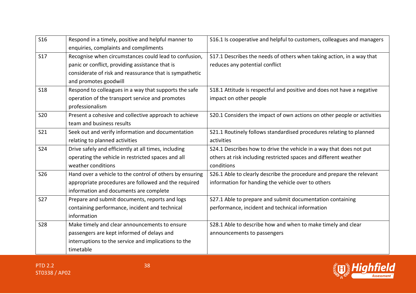| <b>S16</b> | Respond in a timely, positive and helpful manner to      | S16.1 Is cooperative and helpful to customers, colleagues and managers  |
|------------|----------------------------------------------------------|-------------------------------------------------------------------------|
|            | enquiries, complaints and compliments                    |                                                                         |
| <b>S17</b> | Recognise when circumstances could lead to confusion,    | S17.1 Describes the needs of others when taking action, in a way that   |
|            | panic or conflict, providing assistance that is          | reduces any potential conflict                                          |
|            | considerate of risk and reassurance that is sympathetic  |                                                                         |
|            | and promotes goodwill                                    |                                                                         |
| <b>S18</b> | Respond to colleagues in a way that supports the safe    | S18.1 Attitude is respectful and positive and does not have a negative  |
|            | operation of the transport service and promotes          | impact on other people                                                  |
|            | professionalism                                          |                                                                         |
| <b>S20</b> | Present a cohesive and collective approach to achieve    | S20.1 Considers the impact of own actions on other people or activities |
|            | team and business results                                |                                                                         |
| <b>S21</b> | Seek out and verify information and documentation        | S21.1 Routinely follows standardised procedures relating to planned     |
|            | relating to planned activities                           | activities                                                              |
| <b>S24</b> | Drive safely and efficiently at all times, including     | S24.1 Describes how to drive the vehicle in a way that does not put     |
|            | operating the vehicle in restricted spaces and all       | others at risk including restricted spaces and different weather        |
|            | weather conditions                                       | conditions                                                              |
| <b>S26</b> | Hand over a vehicle to the control of others by ensuring | S26.1 Able to clearly describe the procedure and prepare the relevant   |
|            | appropriate procedures are followed and the required     | information for handing the vehicle over to others                      |
|            | information and documents are complete                   |                                                                         |
| <b>S27</b> | Prepare and submit documents, reports and logs           | S27.1 Able to prepare and submit documentation containing               |
|            | containing performance, incident and technical           | performance, incident and technical information                         |
|            | information                                              |                                                                         |
| <b>S28</b> | Make timely and clear announcements to ensure            | S28.1 Able to describe how and when to make timely and clear            |
|            | passengers are kept informed of delays and               | announcements to passengers                                             |
|            | interruptions to the service and implications to the     |                                                                         |
|            | timetable                                                |                                                                         |

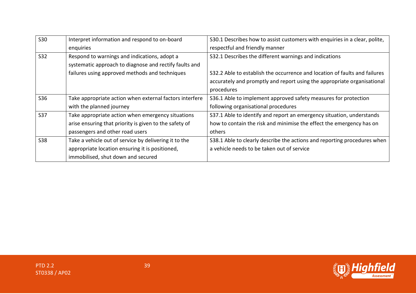| S30        | Interpret information and respond to on-board           | S30.1 Describes how to assist customers with enquiries in a clear, polite, |
|------------|---------------------------------------------------------|----------------------------------------------------------------------------|
|            | enquiries                                               | respectful and friendly manner                                             |
| S32        | Respond to warnings and indications, adopt a            | S32.1 Describes the different warnings and indications                     |
|            | systematic approach to diagnose and rectify faults and  |                                                                            |
|            | failures using approved methods and techniques          | S32.2 Able to establish the occurrence and location of faults and failures |
|            |                                                         | accurately and promptly and report using the appropriate organisational    |
|            |                                                         | procedures                                                                 |
| S36        | Take appropriate action when external factors interfere | S36.1 Able to implement approved safety measures for protection            |
|            | with the planned journey                                | following organisational procedures                                        |
| <b>S37</b> | Take appropriate action when emergency situations       | S37.1 Able to identify and report an emergency situation, understands      |
|            | arise ensuring that priority is given to the safety of  | how to contain the risk and minimise the effect the emergency has on       |
|            | passengers and other road users                         | others                                                                     |
| <b>S38</b> | Take a vehicle out of service by delivering it to the   | S38.1 Able to clearly describe the actions and reporting procedures when   |
|            | appropriate location ensuring it is positioned,         | a vehicle needs to be taken out of service                                 |
|            | immobilised, shut down and secured                      |                                                                            |

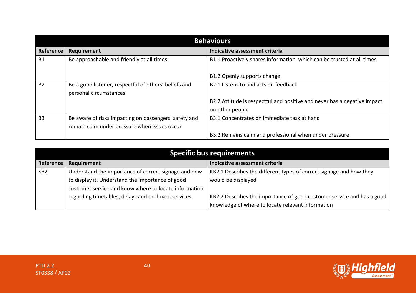| <b>Behaviours</b> |                                                                                                       |                                                                                             |  |
|-------------------|-------------------------------------------------------------------------------------------------------|---------------------------------------------------------------------------------------------|--|
| Reference         | Requirement                                                                                           | Indicative assessment criteria                                                              |  |
| <b>B1</b>         | Be approachable and friendly at all times                                                             | B1.1 Proactively shares information, which can be trusted at all times                      |  |
|                   |                                                                                                       | B1.2 Openly supports change                                                                 |  |
| <b>B2</b>         | Be a good listener, respectful of others' beliefs and<br>personal circumstances                       | B2.1 Listens to and acts on feedback                                                        |  |
|                   |                                                                                                       | B2.2 Attitude is respectful and positive and never has a negative impact<br>on other people |  |
| B <sub>3</sub>    | Be aware of risks impacting on passengers' safety and<br>remain calm under pressure when issues occur | B3.1 Concentrates on immediate task at hand                                                 |  |
|                   |                                                                                                       | B3.2 Remains calm and professional when under pressure                                      |  |

| Specific bus requirements |                                                                                                           |                                                                                                                             |
|---------------------------|-----------------------------------------------------------------------------------------------------------|-----------------------------------------------------------------------------------------------------------------------------|
| Reference                 | Requirement                                                                                               | Indicative assessment criteria                                                                                              |
| KB <sub>2</sub>           | Understand the importance of correct signage and how                                                      | KB2.1 Describes the different types of correct signage and how they                                                         |
|                           | to display it. Understand the importance of good<br>customer service and know where to locate information | would be displayed                                                                                                          |
|                           | regarding timetables, delays and on-board services.                                                       | KB2.2 Describes the importance of good customer service and has a good<br>knowledge of where to locate relevant information |